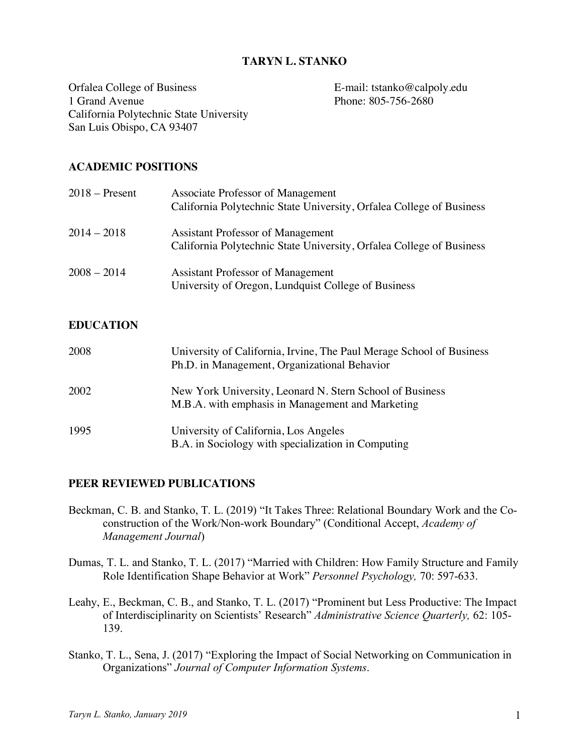### **TARYN L. STANKO**

Orfalea College of Business E-mail: tstanko@calpoly.edu 1 Grand Avenue Phone: 805-756-2680 California Polytechnic State University San Luis Obispo, CA 93407

### **ACADEMIC POSITIONS**

| $2018 -$ Present | Associate Professor of Management<br>California Polytechnic State University, Orfalea College of Business        |
|------------------|------------------------------------------------------------------------------------------------------------------|
| $2014 - 2018$    | <b>Assistant Professor of Management</b><br>California Polytechnic State University, Orfalea College of Business |
| $2008 - 2014$    | Assistant Professor of Management<br>University of Oregon, Lundquist College of Business                         |

### **EDUCATION**

| 2008 | University of California, Irvine, The Paul Merage School of Business<br>Ph.D. in Management, Organizational Behavior |
|------|----------------------------------------------------------------------------------------------------------------------|
| 2002 | New York University, Leonard N. Stern School of Business<br>M.B.A. with emphasis in Management and Marketing         |
| 1995 | University of California, Los Angeles<br>B.A. in Sociology with specialization in Computing                          |

### **PEER REVIEWED PUBLICATIONS**

- Beckman, C. B. and Stanko, T. L. (2019) "It Takes Three: Relational Boundary Work and the Coconstruction of the Work/Non-work Boundary" (Conditional Accept, *Academy of Management Journal*)
- Dumas, T. L. and Stanko, T. L. (2017) "Married with Children: How Family Structure and Family Role Identification Shape Behavior at Work" *Personnel Psychology,* 70: 597-633.
- Leahy, E., Beckman, C. B., and Stanko, T. L. (2017) "Prominent but Less Productive: The Impact of Interdisciplinarity on Scientists' Research" *Administrative Science Quarterly,* 62: 105- 139.
- Stanko, T. L., Sena, J. (2017) "Exploring the Impact of Social Networking on Communication in Organizations" *Journal of Computer Information Systems*.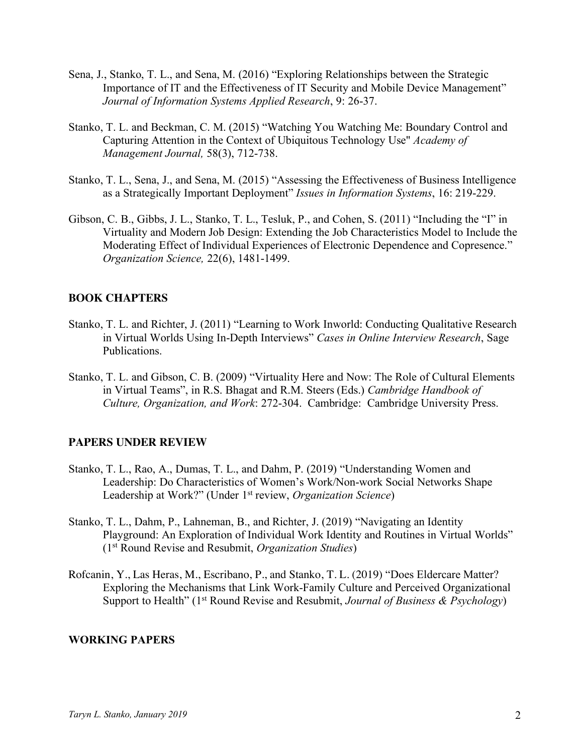- Sena, J., Stanko, T. L., and Sena, M. (2016) "Exploring Relationships between the Strategic Importance of IT and the Effectiveness of IT Security and Mobile Device Management" *Journal of Information Systems Applied Research*, 9: 26-37.
- Stanko, T. L. and Beckman, C. M. (2015) "Watching You Watching Me: Boundary Control and Capturing Attention in the Context of Ubiquitous Technology Use" *Academy of Management Journal,* 58(3), 712-738.
- Stanko, T. L., Sena, J., and Sena, M. (2015) "Assessing the Effectiveness of Business Intelligence as a Strategically Important Deployment" *Issues in Information Systems*, 16: 219-229.
- Gibson, C. B., Gibbs, J. L., Stanko, T. L., Tesluk, P., and Cohen, S. (2011) "Including the "I" in Virtuality and Modern Job Design: Extending the Job Characteristics Model to Include the Moderating Effect of Individual Experiences of Electronic Dependence and Copresence." *Organization Science,* 22(6), 1481-1499.

## **BOOK CHAPTERS**

- Stanko, T. L. and Richter, J. (2011) "Learning to Work Inworld: Conducting Qualitative Research in Virtual Worlds Using In-Depth Interviews" *Cases in Online Interview Research*, Sage Publications.
- Stanko, T. L. and Gibson, C. B. (2009) "Virtuality Here and Now: The Role of Cultural Elements in Virtual Teams", in R.S. Bhagat and R.M. Steers (Eds.) *Cambridge Handbook of Culture, Organization, and Work*: 272-304. Cambridge: Cambridge University Press.

## **PAPERS UNDER REVIEW**

- Stanko, T. L., Rao, A., Dumas, T. L., and Dahm, P. (2019) "Understanding Women and Leadership: Do Characteristics of Women's Work/Non-work Social Networks Shape Leadership at Work?" (Under 1st review, *Organization Science*)
- Stanko, T. L., Dahm, P., Lahneman, B., and Richter, J. (2019) "Navigating an Identity Playground: An Exploration of Individual Work Identity and Routines in Virtual Worlds" (1st Round Revise and Resubmit, *Organization Studies*)
- Rofcanin, Y., Las Heras, M., Escribano, P., and Stanko, T. L. (2019) "Does Eldercare Matter? Exploring the Mechanisms that Link Work-Family Culture and Perceived Organizational Support to Health" (1st Round Revise and Resubmit, *Journal of Business & Psychology*)

### **WORKING PAPERS**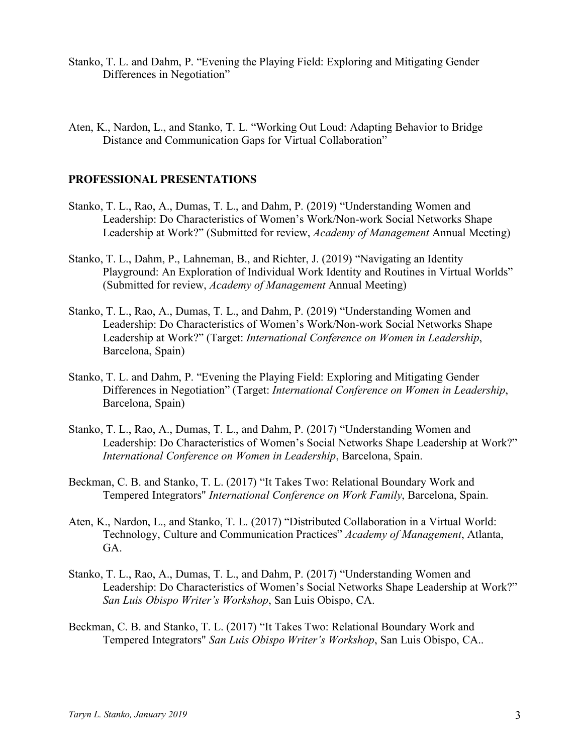- Stanko, T. L. and Dahm, P. "Evening the Playing Field: Exploring and Mitigating Gender Differences in Negotiation"
- Aten, K., Nardon, L., and Stanko, T. L. "Working Out Loud: Adapting Behavior to Bridge Distance and Communication Gaps for Virtual Collaboration"

#### **PROFESSIONAL PRESENTATIONS**

- Stanko, T. L., Rao, A., Dumas, T. L., and Dahm, P. (2019) "Understanding Women and Leadership: Do Characteristics of Women's Work/Non-work Social Networks Shape Leadership at Work?" (Submitted for review, *Academy of Management* Annual Meeting)
- Stanko, T. L., Dahm, P., Lahneman, B., and Richter, J. (2019) "Navigating an Identity Playground: An Exploration of Individual Work Identity and Routines in Virtual Worlds" (Submitted for review, *Academy of Management* Annual Meeting)
- Stanko, T. L., Rao, A., Dumas, T. L., and Dahm, P. (2019) "Understanding Women and Leadership: Do Characteristics of Women's Work/Non-work Social Networks Shape Leadership at Work?" (Target: *International Conference on Women in Leadership*, Barcelona, Spain)
- Stanko, T. L. and Dahm, P. "Evening the Playing Field: Exploring and Mitigating Gender Differences in Negotiation" (Target: *International Conference on Women in Leadership*, Barcelona, Spain)
- Stanko, T. L., Rao, A., Dumas, T. L., and Dahm, P. (2017) "Understanding Women and Leadership: Do Characteristics of Women's Social Networks Shape Leadership at Work?" *International Conference on Women in Leadership*, Barcelona, Spain.
- Beckman, C. B. and Stanko, T. L. (2017) "It Takes Two: Relational Boundary Work and Tempered Integrators" *International Conference on Work Family*, Barcelona, Spain.
- Aten, K., Nardon, L., and Stanko, T. L. (2017) "Distributed Collaboration in a Virtual World: Technology, Culture and Communication Practices" *Academy of Management*, Atlanta, GA.
- Stanko, T. L., Rao, A., Dumas, T. L., and Dahm, P. (2017) "Understanding Women and Leadership: Do Characteristics of Women's Social Networks Shape Leadership at Work?" *San Luis Obispo Writer's Workshop*, San Luis Obispo, CA.
- Beckman, C. B. and Stanko, T. L. (2017) "It Takes Two: Relational Boundary Work and Tempered Integrators" *San Luis Obispo Writer's Workshop*, San Luis Obispo, CA..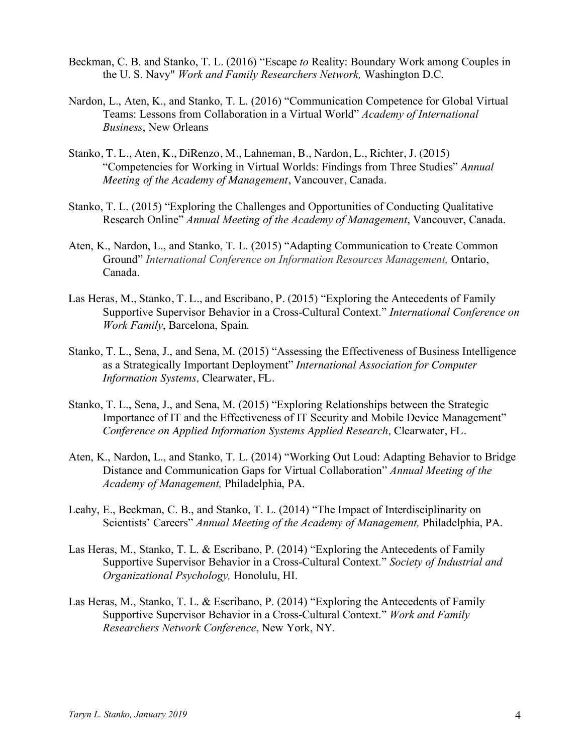- Beckman, C. B. and Stanko, T. L. (2016) "Escape *to* Reality: Boundary Work among Couples in the U. S. Navy" *Work and Family Researchers Network,* Washington D.C.
- Nardon, L., Aten, K., and Stanko, T. L. (2016) "Communication Competence for Global Virtual Teams: Lessons from Collaboration in a Virtual World" *Academy of International Business*, New Orleans
- Stanko, T. L., Aten, K., DiRenzo, M., Lahneman, B., Nardon, L., Richter, J. (2015) "Competencies for Working in Virtual Worlds: Findings from Three Studies" *Annual Meeting of the Academy of Management*, Vancouver, Canada.
- Stanko, T. L. (2015) "Exploring the Challenges and Opportunities of Conducting Qualitative Research Online" *Annual Meeting of the Academy of Management*, Vancouver, Canada.
- Aten, K., Nardon, L., and Stanko, T. L. (2015) "Adapting Communication to Create Common Ground" *International Conference on Information Resources Management,* Ontario, Canada.
- Las Heras, M., Stanko, T. L., and Escribano, P. (2015) "Exploring the Antecedents of Family Supportive Supervisor Behavior in a Cross-Cultural Context." *International Conference on Work Family*, Barcelona, Spain.
- Stanko, T. L., Sena, J., and Sena, M. (2015) "Assessing the Effectiveness of Business Intelligence as a Strategically Important Deployment" *International Association for Computer Information Systems,* Clearwater, FL.
- Stanko, T. L., Sena, J., and Sena, M. (2015) "Exploring Relationships between the Strategic Importance of IT and the Effectiveness of IT Security and Mobile Device Management" *Conference on Applied Information Systems Applied Research,* Clearwater, FL.
- Aten, K., Nardon, L., and Stanko, T. L. (2014) "Working Out Loud: Adapting Behavior to Bridge Distance and Communication Gaps for Virtual Collaboration" *Annual Meeting of the Academy of Management,* Philadelphia, PA.
- Leahy, E., Beckman, C. B., and Stanko, T. L. (2014) "The Impact of Interdisciplinarity on Scientists' Careers" *Annual Meeting of the Academy of Management,* Philadelphia, PA.
- Las Heras, M., Stanko, T. L. & Escribano, P. (2014) "Exploring the Antecedents of Family Supportive Supervisor Behavior in a Cross-Cultural Context." *Society of Industrial and Organizational Psychology,* Honolulu, HI.
- Las Heras, M., Stanko, T. L. & Escribano, P. (2014) "Exploring the Antecedents of Family Supportive Supervisor Behavior in a Cross-Cultural Context." *Work and Family Researchers Network Conference*, New York, NY.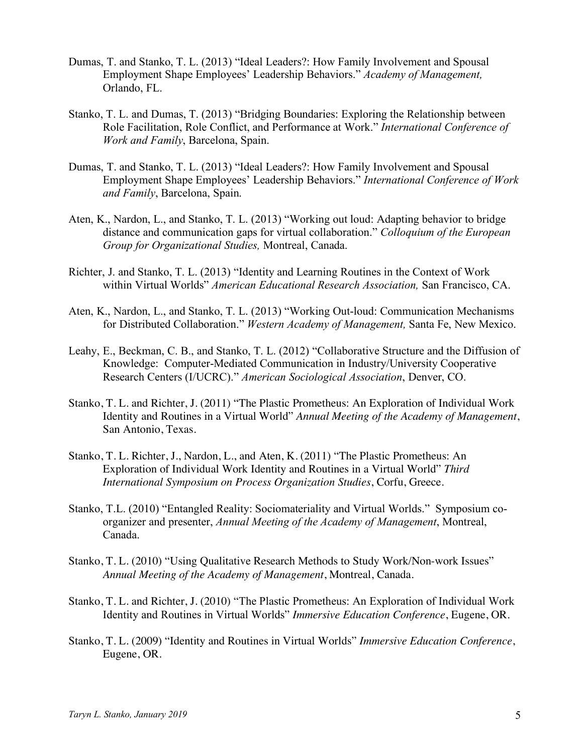- Dumas, T. and Stanko, T. L. (2013) "Ideal Leaders?: How Family Involvement and Spousal Employment Shape Employees' Leadership Behaviors." *Academy of Management,*  Orlando, FL.
- Stanko, T. L. and Dumas, T. (2013) "Bridging Boundaries: Exploring the Relationship between Role Facilitation, Role Conflict, and Performance at Work." *International Conference of Work and Family*, Barcelona, Spain.
- Dumas, T. and Stanko, T. L. (2013) "Ideal Leaders?: How Family Involvement and Spousal Employment Shape Employees' Leadership Behaviors." *International Conference of Work and Family*, Barcelona, Spain.
- Aten, K., Nardon, L., and Stanko, T. L. (2013) "Working out loud: Adapting behavior to bridge distance and communication gaps for virtual collaboration." *Colloquium of the European Group for Organizational Studies,* Montreal, Canada.
- Richter, J. and Stanko, T. L. (2013) "Identity and Learning Routines in the Context of Work within Virtual Worlds" *American Educational Research Association,* San Francisco, CA.
- Aten, K., Nardon, L., and Stanko, T. L. (2013) "Working Out-loud: Communication Mechanisms for Distributed Collaboration." *Western Academy of Management,* Santa Fe, New Mexico.
- Leahy, E., Beckman, C. B., and Stanko, T. L. (2012) "Collaborative Structure and the Diffusion of Knowledge: Computer-Mediated Communication in Industry/University Cooperative Research Centers (I/UCRC)." *American Sociological Association*, Denver, CO.
- Stanko, T. L. and Richter, J. (2011) "The Plastic Prometheus: An Exploration of Individual Work Identity and Routines in a Virtual World" *Annual Meeting of the Academy of Management*, San Antonio, Texas.
- Stanko, T. L. Richter, J., Nardon, L., and Aten, K. (2011) "The Plastic Prometheus: An Exploration of Individual Work Identity and Routines in a Virtual World" *Third International Symposium on Process Organization Studies*, Corfu, Greece.
- Stanko, T.L. (2010) "Entangled Reality: Sociomateriality and Virtual Worlds." Symposium coorganizer and presenter, *Annual Meeting of the Academy of Management*, Montreal, Canada.
- Stanko, T. L. (2010) "Using Qualitative Research Methods to Study Work/Non-work Issues" *Annual Meeting of the Academy of Management*, Montreal, Canada.
- Stanko, T. L. and Richter, J. (2010) "The Plastic Prometheus: An Exploration of Individual Work Identity and Routines in Virtual Worlds" *Immersive Education Conference*, Eugene, OR.
- Stanko, T. L. (2009) "Identity and Routines in Virtual Worlds" *Immersive Education Conference*, Eugene, OR.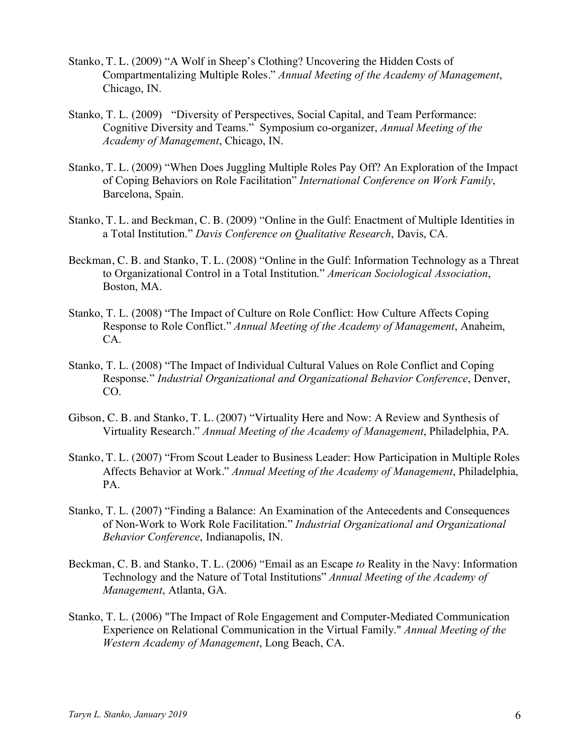- Stanko, T. L. (2009) "A Wolf in Sheep's Clothing? Uncovering the Hidden Costs of Compartmentalizing Multiple Roles." *Annual Meeting of the Academy of Management*, Chicago, IN.
- Stanko, T. L. (2009) "Diversity of Perspectives, Social Capital, and Team Performance: Cognitive Diversity and Teams." Symposium co-organizer, *Annual Meeting of the Academy of Management*, Chicago, IN.
- Stanko, T. L. (2009) "When Does Juggling Multiple Roles Pay Off? An Exploration of the Impact of Coping Behaviors on Role Facilitation" *International Conference on Work Family*, Barcelona, Spain.
- Stanko, T. L. and Beckman, C. B. (2009) "Online in the Gulf: Enactment of Multiple Identities in a Total Institution." *Davis Conference on Qualitative Research*, Davis, CA.
- Beckman, C. B. and Stanko, T. L. (2008) "Online in the Gulf: Information Technology as a Threat to Organizational Control in a Total Institution." *American Sociological Association*, Boston, MA.
- Stanko, T. L. (2008) "The Impact of Culture on Role Conflict: How Culture Affects Coping Response to Role Conflict." *Annual Meeting of the Academy of Management*, Anaheim, CA.
- Stanko, T. L. (2008) "The Impact of Individual Cultural Values on Role Conflict and Coping Response." *Industrial Organizational and Organizational Behavior Conference*, Denver, CO.
- Gibson, C. B. and Stanko, T. L. (2007) "Virtuality Here and Now: A Review and Synthesis of Virtuality Research." *Annual Meeting of the Academy of Management*, Philadelphia, PA.
- Stanko, T. L. (2007) "From Scout Leader to Business Leader: How Participation in Multiple Roles Affects Behavior at Work." *Annual Meeting of the Academy of Management*, Philadelphia, PA.
- Stanko, T. L. (2007) "Finding a Balance: An Examination of the Antecedents and Consequences of Non-Work to Work Role Facilitation." *Industrial Organizational and Organizational Behavior Conference*, Indianapolis, IN.
- Beckman, C. B. and Stanko, T. L. (2006) "Email as an Escape *to* Reality in the Navy: Information Technology and the Nature of Total Institutions" *Annual Meeting of the Academy of Management*, Atlanta, GA.
- Stanko, T. L. (2006) "The Impact of Role Engagement and Computer-Mediated Communication Experience on Relational Communication in the Virtual Family." *Annual Meeting of the Western Academy of Management*, Long Beach, CA.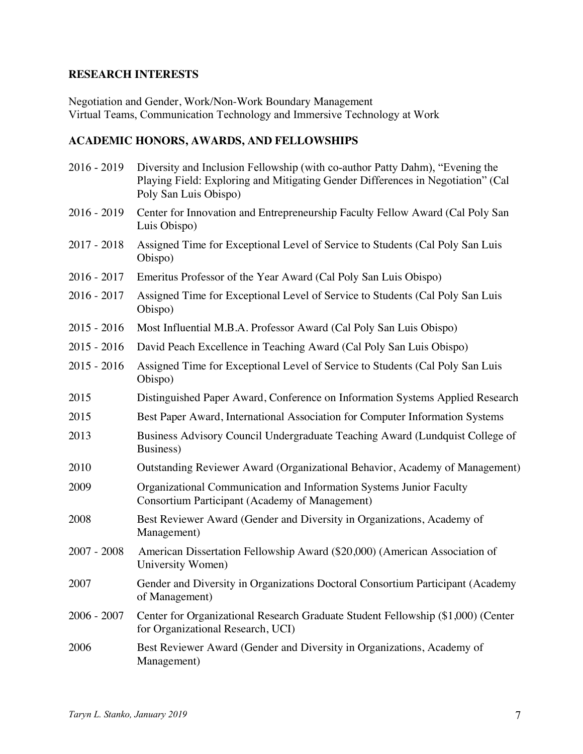## **RESEARCH INTERESTS**

Negotiation and Gender, Work/Non-Work Boundary Management Virtual Teams, Communication Technology and Immersive Technology at Work

## **ACADEMIC HONORS, AWARDS, AND FELLOWSHIPS**

| $2016 - 2019$ | Diversity and Inclusion Fellowship (with co-author Patty Dahm), "Evening the<br>Playing Field: Exploring and Mitigating Gender Differences in Negotiation" (Cal<br>Poly San Luis Obispo) |
|---------------|------------------------------------------------------------------------------------------------------------------------------------------------------------------------------------------|
| $2016 - 2019$ | Center for Innovation and Entrepreneurship Faculty Fellow Award (Cal Poly San<br>Luis Obispo)                                                                                            |
| $2017 - 2018$ | Assigned Time for Exceptional Level of Service to Students (Cal Poly San Luis<br>Obispo)                                                                                                 |
| $2016 - 2017$ | Emeritus Professor of the Year Award (Cal Poly San Luis Obispo)                                                                                                                          |
| $2016 - 2017$ | Assigned Time for Exceptional Level of Service to Students (Cal Poly San Luis<br>Obispo)                                                                                                 |
| $2015 - 2016$ | Most Influential M.B.A. Professor Award (Cal Poly San Luis Obispo)                                                                                                                       |
| $2015 - 2016$ | David Peach Excellence in Teaching Award (Cal Poly San Luis Obispo)                                                                                                                      |
| $2015 - 2016$ | Assigned Time for Exceptional Level of Service to Students (Cal Poly San Luis<br>Obispo)                                                                                                 |
| 2015          | Distinguished Paper Award, Conference on Information Systems Applied Research                                                                                                            |
| 2015          | Best Paper Award, International Association for Computer Information Systems                                                                                                             |
| 2013          | Business Advisory Council Undergraduate Teaching Award (Lundquist College of<br>Business)                                                                                                |
| 2010          | Outstanding Reviewer Award (Organizational Behavior, Academy of Management)                                                                                                              |
| 2009          | Organizational Communication and Information Systems Junior Faculty<br>Consortium Participant (Academy of Management)                                                                    |
| 2008          | Best Reviewer Award (Gender and Diversity in Organizations, Academy of<br>Management)                                                                                                    |
| $2007 - 2008$ | American Dissertation Fellowship Award (\$20,000) (American Association of<br>University Women)                                                                                          |
| 2007          | Gender and Diversity in Organizations Doctoral Consortium Participant (Academy<br>of Management)                                                                                         |
| $2006 - 2007$ | Center for Organizational Research Graduate Student Fellowship (\$1,000) (Center<br>for Organizational Research, UCI)                                                                    |
| 2006          | Best Reviewer Award (Gender and Diversity in Organizations, Academy of<br>Management)                                                                                                    |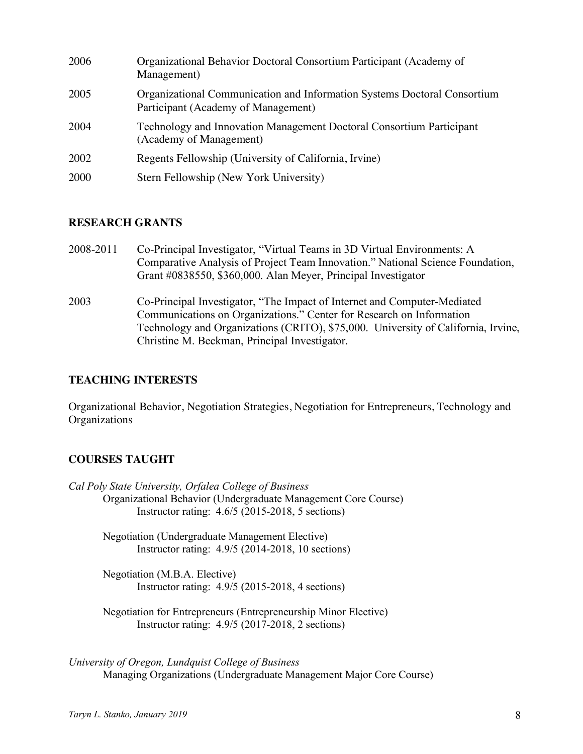| 2006 | Organizational Behavior Doctoral Consortium Participant (Academy of<br>Management)                              |
|------|-----------------------------------------------------------------------------------------------------------------|
| 2005 | Organizational Communication and Information Systems Doctoral Consortium<br>Participant (Academy of Management) |
| 2004 | Technology and Innovation Management Doctoral Consortium Participant<br>(Academy of Management)                 |
| 2002 | Regents Fellowship (University of California, Irvine)                                                           |
| 2000 | Stern Fellowship (New York University)                                                                          |

### **RESEARCH GRANTS**

- 2008-2011 Co-Principal Investigator, "Virtual Teams in 3D Virtual Environments: A Comparative Analysis of Project Team Innovation." National Science Foundation, Grant #0838550, \$360,000. Alan Meyer, Principal Investigator
- 2003 Co-Principal Investigator, "The Impact of Internet and Computer-Mediated Communications on Organizations." Center for Research on Information Technology and Organizations (CRITO), \$75,000. University of California, Irvine, Christine M. Beckman, Principal Investigator.

### **TEACHING INTERESTS**

Organizational Behavior, Negotiation Strategies, Negotiation for Entrepreneurs, Technology and **Organizations** 

### **COURSES TAUGHT**

*Cal Poly State University, Orfalea College of Business*  Organizational Behavior (Undergraduate Management Core Course) Instructor rating: 4.6/5 (2015-2018, 5 sections)

> Negotiation (Undergraduate Management Elective) Instructor rating: 4.9/5 (2014-2018, 10 sections)

Negotiation (M.B.A. Elective) Instructor rating: 4.9/5 (2015-2018, 4 sections)

Negotiation for Entrepreneurs (Entrepreneurship Minor Elective) Instructor rating: 4.9/5 (2017-2018, 2 sections)

*University of Oregon, Lundquist College of Business*  Managing Organizations (Undergraduate Management Major Core Course)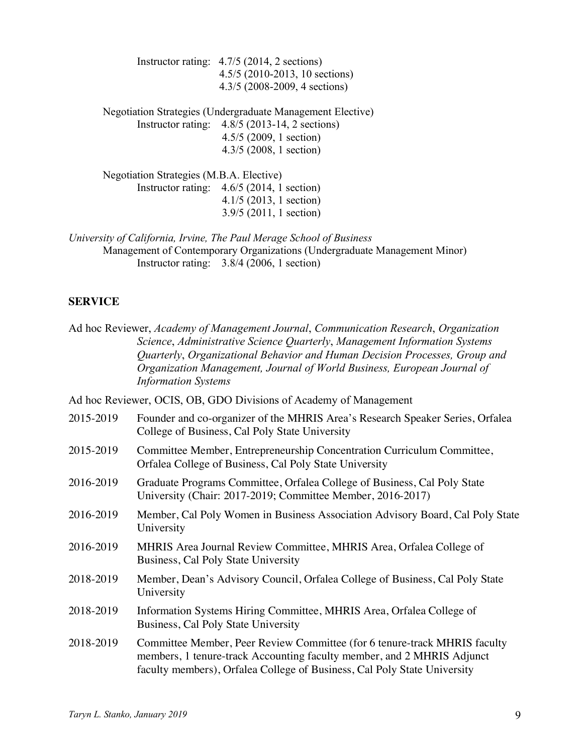Instructor rating: 4.7/5 (2014, 2 sections) 4.5/5 (2010-2013, 10 sections) 4.3/5 (2008-2009, 4 sections)

Negotiation Strategies (Undergraduate Management Elective) Instructor rating: 4.8/5 (2013-14, 2 sections) 4.5/5 (2009, 1 section) 4.3/5 (2008, 1 section)

Negotiation Strategies (M.B.A. Elective) Instructor rating: 4.6/5 (2014, 1 section) 4.1/5 (2013, 1 section) 3.9/5 (2011, 1 section)

*University of California, Irvine, The Paul Merage School of Business* 

Management of Contemporary Organizations (Undergraduate Management Minor) Instructor rating: 3.8/4 (2006, 1 section)

### **SERVICE**

|           | Ad hoc Reviewer, Academy of Management Journal, Communication Research, Organization<br>Science, Administrative Science Quarterly, Management Information Systems<br>Quarterly, Organizational Behavior and Human Decision Processes, Group and<br>Organization Management, Journal of World Business, European Journal of<br><b>Information Systems</b> |
|-----------|----------------------------------------------------------------------------------------------------------------------------------------------------------------------------------------------------------------------------------------------------------------------------------------------------------------------------------------------------------|
|           | Ad hoc Reviewer, OCIS, OB, GDO Divisions of Academy of Management                                                                                                                                                                                                                                                                                        |
| 2015-2019 | Founder and co-organizer of the MHRIS Area's Research Speaker Series, Orfalea<br>College of Business, Cal Poly State University                                                                                                                                                                                                                          |
| 2015-2019 | Committee Member, Entrepreneurship Concentration Curriculum Committee,<br>Orfalea College of Business, Cal Poly State University                                                                                                                                                                                                                         |
| 2016-2019 | Graduate Programs Committee, Orfalea College of Business, Cal Poly State<br>University (Chair: 2017-2019; Committee Member, 2016-2017)                                                                                                                                                                                                                   |
| 2016-2019 | Member, Cal Poly Women in Business Association Advisory Board, Cal Poly State<br>University                                                                                                                                                                                                                                                              |
| 2016-2019 | MHRIS Area Journal Review Committee, MHRIS Area, Orfalea College of<br>Business, Cal Poly State University                                                                                                                                                                                                                                               |
| 2018-2019 | Member, Dean's Advisory Council, Orfalea College of Business, Cal Poly State<br>University                                                                                                                                                                                                                                                               |
| 2018-2019 | Information Systems Hiring Committee, MHRIS Area, Orfalea College of<br>Business, Cal Poly State University                                                                                                                                                                                                                                              |
| 2018-2019 | Committee Member, Peer Review Committee (for 6 tenure-track MHRIS faculty<br>members, 1 tenure-track Accounting faculty member, and 2 MHRIS Adjunct<br>faculty members), Orfalea College of Business, Cal Poly State University                                                                                                                          |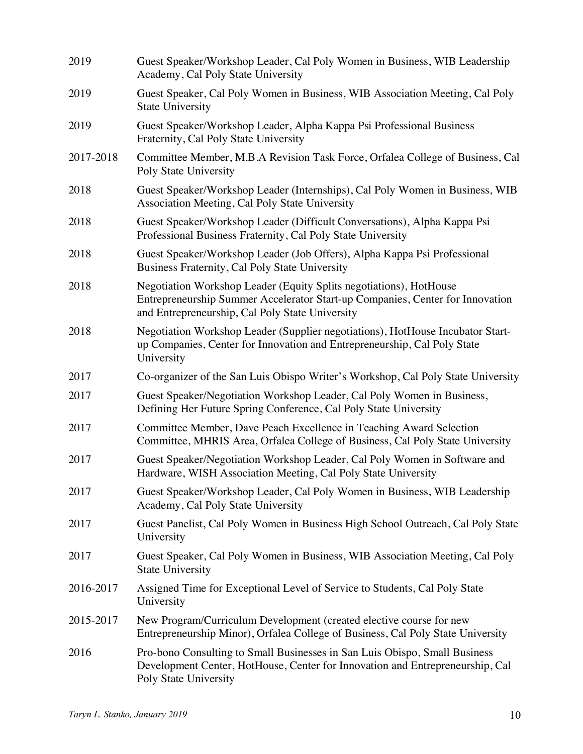| 2019      | Guest Speaker/Workshop Leader, Cal Poly Women in Business, WIB Leadership<br>Academy, Cal Poly State University                                                                                        |
|-----------|--------------------------------------------------------------------------------------------------------------------------------------------------------------------------------------------------------|
| 2019      | Guest Speaker, Cal Poly Women in Business, WIB Association Meeting, Cal Poly<br><b>State University</b>                                                                                                |
| 2019      | Guest Speaker/Workshop Leader, Alpha Kappa Psi Professional Business<br>Fraternity, Cal Poly State University                                                                                          |
| 2017-2018 | Committee Member, M.B.A Revision Task Force, Orfalea College of Business, Cal<br>Poly State University                                                                                                 |
| 2018      | Guest Speaker/Workshop Leader (Internships), Cal Poly Women in Business, WIB<br>Association Meeting, Cal Poly State University                                                                         |
| 2018      | Guest Speaker/Workshop Leader (Difficult Conversations), Alpha Kappa Psi<br>Professional Business Fraternity, Cal Poly State University                                                                |
| 2018      | Guest Speaker/Workshop Leader (Job Offers), Alpha Kappa Psi Professional<br>Business Fraternity, Cal Poly State University                                                                             |
| 2018      | Negotiation Workshop Leader (Equity Splits negotiations), HotHouse<br>Entrepreneurship Summer Accelerator Start-up Companies, Center for Innovation<br>and Entrepreneurship, Cal Poly State University |
| 2018      | Negotiation Workshop Leader (Supplier negotiations), HotHouse Incubator Start-<br>up Companies, Center for Innovation and Entrepreneurship, Cal Poly State<br>University                               |
| 2017      | Co-organizer of the San Luis Obispo Writer's Workshop, Cal Poly State University                                                                                                                       |
| 2017      | Guest Speaker/Negotiation Workshop Leader, Cal Poly Women in Business,<br>Defining Her Future Spring Conference, Cal Poly State University                                                             |
| 2017      | Committee Member, Dave Peach Excellence in Teaching Award Selection<br>Committee, MHRIS Area, Orfalea College of Business, Cal Poly State University                                                   |
| 2017      | Guest Speaker/Negotiation Workshop Leader, Cal Poly Women in Software and<br>Hardware, WISH Association Meeting, Cal Poly State University                                                             |
| 2017      | Guest Speaker/Workshop Leader, Cal Poly Women in Business, WIB Leadership<br>Academy, Cal Poly State University                                                                                        |
| 2017      | Guest Panelist, Cal Poly Women in Business High School Outreach, Cal Poly State<br>University                                                                                                          |
| 2017      | Guest Speaker, Cal Poly Women in Business, WIB Association Meeting, Cal Poly<br><b>State University</b>                                                                                                |
| 2016-2017 | Assigned Time for Exceptional Level of Service to Students, Cal Poly State<br>University                                                                                                               |
| 2015-2017 | New Program/Curriculum Development (created elective course for new<br>Entrepreneurship Minor), Orfalea College of Business, Cal Poly State University                                                 |
| 2016      | Pro-bono Consulting to Small Businesses in San Luis Obispo, Small Business<br>Development Center, HotHouse, Center for Innovation and Entrepreneurship, Cal<br>Poly State University                   |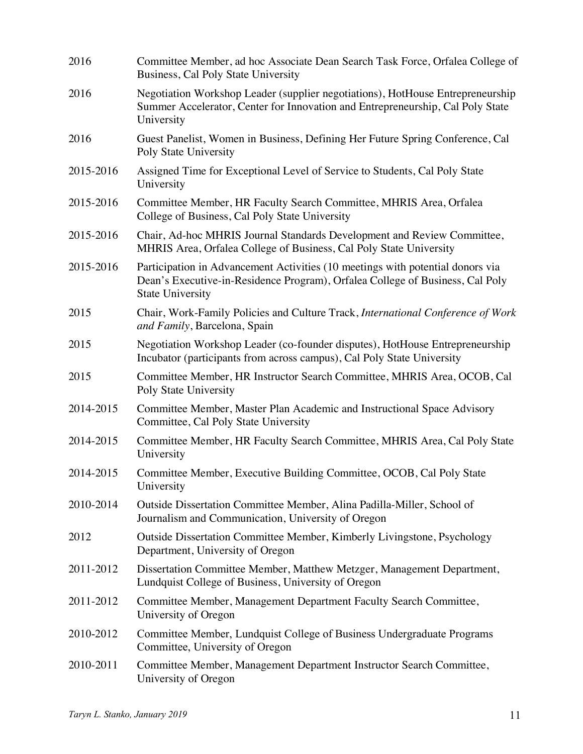| 2016      | Committee Member, ad hoc Associate Dean Search Task Force, Orfalea College of<br>Business, Cal Poly State University                                                                       |
|-----------|--------------------------------------------------------------------------------------------------------------------------------------------------------------------------------------------|
| 2016      | Negotiation Workshop Leader (supplier negotiations), HotHouse Entrepreneurship<br>Summer Accelerator, Center for Innovation and Entrepreneurship, Cal Poly State<br>University             |
| 2016      | Guest Panelist, Women in Business, Defining Her Future Spring Conference, Cal<br>Poly State University                                                                                     |
| 2015-2016 | Assigned Time for Exceptional Level of Service to Students, Cal Poly State<br>University                                                                                                   |
| 2015-2016 | Committee Member, HR Faculty Search Committee, MHRIS Area, Orfalea<br>College of Business, Cal Poly State University                                                                       |
| 2015-2016 | Chair, Ad-hoc MHRIS Journal Standards Development and Review Committee,<br>MHRIS Area, Orfalea College of Business, Cal Poly State University                                              |
| 2015-2016 | Participation in Advancement Activities (10 meetings with potential donors via<br>Dean's Executive-in-Residence Program), Orfalea College of Business, Cal Poly<br><b>State University</b> |
| 2015      | Chair, Work-Family Policies and Culture Track, International Conference of Work<br>and Family, Barcelona, Spain                                                                            |
| 2015      | Negotiation Workshop Leader (co-founder disputes), HotHouse Entrepreneurship<br>Incubator (participants from across campus), Cal Poly State University                                     |
| 2015      | Committee Member, HR Instructor Search Committee, MHRIS Area, OCOB, Cal<br>Poly State University                                                                                           |
| 2014-2015 | Committee Member, Master Plan Academic and Instructional Space Advisory<br>Committee, Cal Poly State University                                                                            |
| 2014-2015 | Committee Member, HR Faculty Search Committee, MHRIS Area, Cal Poly State<br>University                                                                                                    |
| 2014-2015 | Committee Member, Executive Building Committee, OCOB, Cal Poly State<br>University                                                                                                         |
| 2010-2014 | Outside Dissertation Committee Member, Alina Padilla-Miller, School of<br>Journalism and Communication, University of Oregon                                                               |
| 2012      | Outside Dissertation Committee Member, Kimberly Livingstone, Psychology<br>Department, University of Oregon                                                                                |
| 2011-2012 | Dissertation Committee Member, Matthew Metzger, Management Department,<br>Lundquist College of Business, University of Oregon                                                              |
| 2011-2012 | Committee Member, Management Department Faculty Search Committee,<br>University of Oregon                                                                                                  |
| 2010-2012 | Committee Member, Lundquist College of Business Undergraduate Programs<br>Committee, University of Oregon                                                                                  |
| 2010-2011 | Committee Member, Management Department Instructor Search Committee,<br>University of Oregon                                                                                               |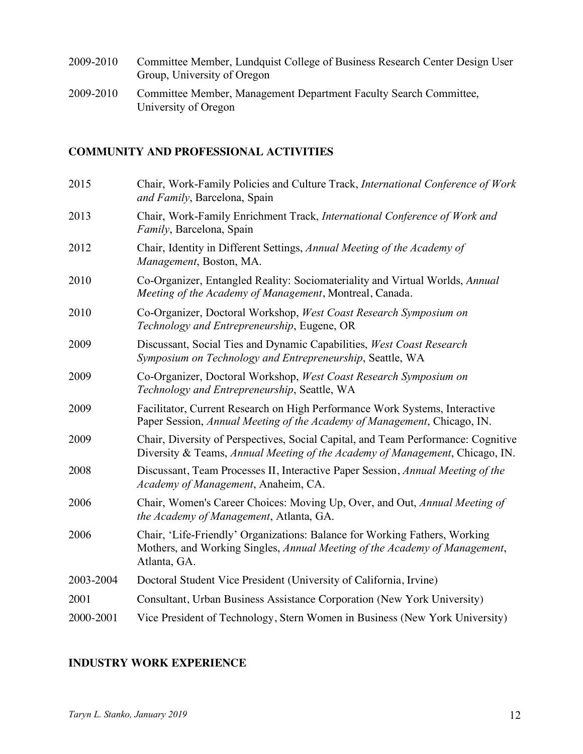- 2009-2010 Committee Member, Lundquist College of Business Research Center Design User Group, University of Oregon
- 2009-2010 Committee Member, Management Department Faculty Search Committee, University of Oregon

# **COMMUNITY AND PROFESSIONAL ACTIVITIES**

| 2015      | Chair, Work-Family Policies and Culture Track, International Conference of Work<br>and Family, Barcelona, Spain                                                          |
|-----------|--------------------------------------------------------------------------------------------------------------------------------------------------------------------------|
| 2013      | Chair, Work-Family Enrichment Track, International Conference of Work and<br>Family, Barcelona, Spain                                                                    |
| 2012      | Chair, Identity in Different Settings, Annual Meeting of the Academy of<br>Management, Boston, MA.                                                                       |
| 2010      | Co-Organizer, Entangled Reality: Sociomateriality and Virtual Worlds, Annual<br>Meeting of the Academy of Management, Montreal, Canada.                                  |
| 2010      | Co-Organizer, Doctoral Workshop, West Coast Research Symposium on<br>Technology and Entrepreneurship, Eugene, OR                                                         |
| 2009      | Discussant, Social Ties and Dynamic Capabilities, West Coast Research<br>Symposium on Technology and Entrepreneurship, Seattle, WA                                       |
| 2009      | Co-Organizer, Doctoral Workshop, West Coast Research Symposium on<br>Technology and Entrepreneurship, Seattle, WA                                                        |
| 2009      | Facilitator, Current Research on High Performance Work Systems, Interactive<br>Paper Session, Annual Meeting of the Academy of Management, Chicago, IN.                  |
| 2009      | Chair, Diversity of Perspectives, Social Capital, and Team Performance: Cognitive<br>Diversity & Teams, Annual Meeting of the Academy of Management, Chicago, IN.        |
| 2008      | Discussant, Team Processes II, Interactive Paper Session, Annual Meeting of the<br>Academy of Management, Anaheim, CA.                                                   |
| 2006      | Chair, Women's Career Choices: Moving Up, Over, and Out, Annual Meeting of<br>the Academy of Management, Atlanta, GA.                                                    |
| 2006      | Chair, 'Life-Friendly' Organizations: Balance for Working Fathers, Working<br>Mothers, and Working Singles, Annual Meeting of the Academy of Management,<br>Atlanta, GA. |
| 2003-2004 | Doctoral Student Vice President (University of California, Irvine)                                                                                                       |
| 2001      | Consultant, Urban Business Assistance Corporation (New York University)                                                                                                  |
| 2000-2001 | Vice President of Technology, Stern Women in Business (New York University)                                                                                              |

## **INDUSTRY WORK EXPERIENCE**